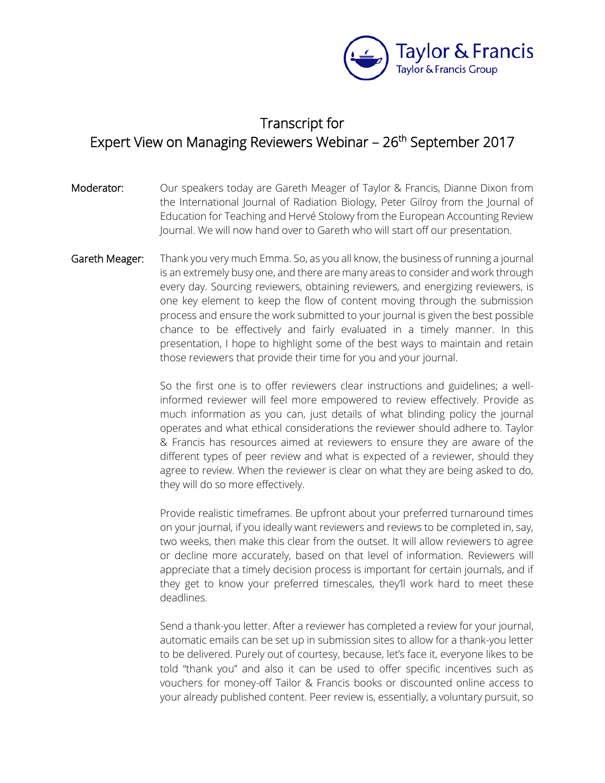

## Transcript for Expert View on Managing Reviewers Webinar – 26<sup>th</sup> September 2017

- Moderator: Our speakers today are Gareth Meager of Taylor & Francis, Dianne Dixon from the International Journal of Radiation Biology, Peter Gilroy from the Journal of Education for Teaching and Hervé Stolowy from the European Accounting Review Journal. We will now hand over to Gareth who will start off our presentation.
- Gareth Meager: Thank you very much Emma. So, as you all know, the business of running a journal is an extremely busy one, and there are many areas to consider and work through every day. Sourcing reviewers, obtaining reviewers, and energizing reviewers, is one key element to keep the flow of content moving through the submission process and ensure the work submitted to your journal is given the best possible chance to be effectively and fairly evaluated in a timely manner. In this presentation, I hope to highlight some of the best ways to maintain and retain those reviewers that provide their time for you and your journal.

So the first one is to offer reviewers clear instructions and guidelines; a wellinformed reviewer will feel more empowered to review effectively. Provide as much information as you can, just details of what blinding policy the journal operates and what ethical considerations the reviewer should adhere to. Taylor & Francis has resources aimed at reviewers to ensure they are aware of the different types of peer review and what is expected of a reviewer, should they agree to review. When the reviewer is clear on what they are being asked to do, they will do so more effectively.

Provide realistic timeframes. Be upfront about your preferred turnaround times on your journal, if you ideally want reviewers and reviews to be completed in, say, two weeks, then make this clear from the outset. It will allow reviewers to agree or decline more accurately, based on that level of information. Reviewers will appreciate that a timely decision process is important for certain journals, and if they get to know your preferred timescales, they'll work hard to meet these deadlines.

Send a thank-you letter. After a reviewer has completed a review for your journal, automatic emails can be set up in submission sites to allow for a thank-you letter to be delivered. Purely out of courtesy, because, let's face it, everyone likes to be told "thank you" and also it can be used to offer specific incentives such as vouchers for money-off Tailor & Francis books or discounted online access to your already published content. Peer review is, essentially, a voluntary pursuit, so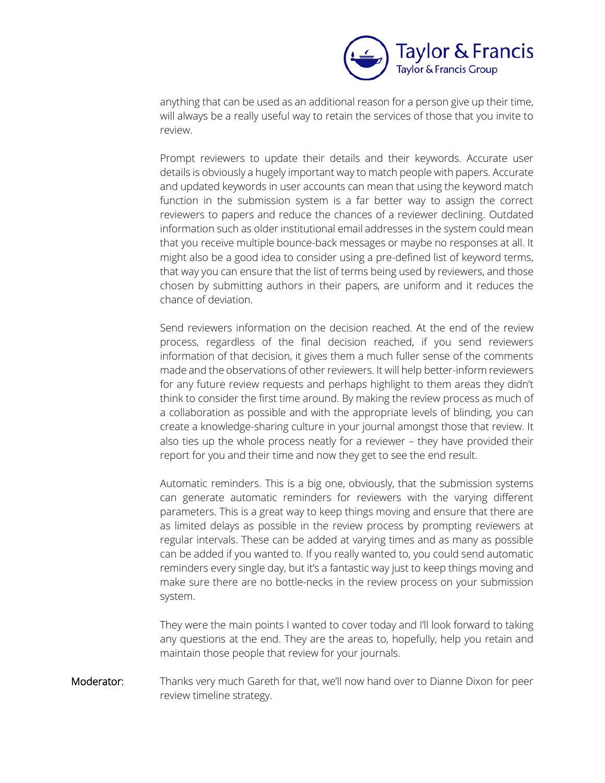

anything that can be used as an additional reason for a person give up their time, will always be a really useful way to retain the services of those that you invite to review.

Prompt reviewers to update their details and their keywords. Accurate user details is obviously a hugely important way to match people with papers. Accurate and updated keywords in user accounts can mean that using the keyword match function in the submission system is a far better way to assign the correct reviewers to papers and reduce the chances of a reviewer declining. Outdated information such as older institutional email addresses in the system could mean that you receive multiple bounce-back messages or maybe no responses at all. It might also be a good idea to consider using a pre-defined list of keyword terms, that way you can ensure that the list of terms being used by reviewers, and those chosen by submitting authors in their papers, are uniform and it reduces the chance of deviation.

Send reviewers information on the decision reached. At the end of the review process, regardless of the final decision reached, if you send reviewers information of that decision, it gives them a much fuller sense of the comments made and the observations of other reviewers. It will help better-inform reviewers for any future review requests and perhaps highlight to them areas they didn't think to consider the first time around. By making the review process as much of a collaboration as possible and with the appropriate levels of blinding, you can create a knowledge-sharing culture in your journal amongst those that review. It also ties up the whole process neatly for a reviewer – they have provided their report for you and their time and now they get to see the end result.

Automatic reminders. This is a big one, obviously, that the submission systems can generate automatic reminders for reviewers with the varying different parameters. This is a great way to keep things moving and ensure that there are as limited delays as possible in the review process by prompting reviewers at regular intervals. These can be added at varying times and as many as possible can be added if you wanted to. If you really wanted to, you could send automatic reminders every single day, but it's a fantastic way just to keep things moving and make sure there are no bottle-necks in the review process on your submission system.

They were the main points I wanted to cover today and I'll look forward to taking any questions at the end. They are the areas to, hopefully, help you retain and maintain those people that review for your journals.

Moderator: Thanks very much Gareth for that, we'll now hand over to Dianne Dixon for peer review timeline strategy.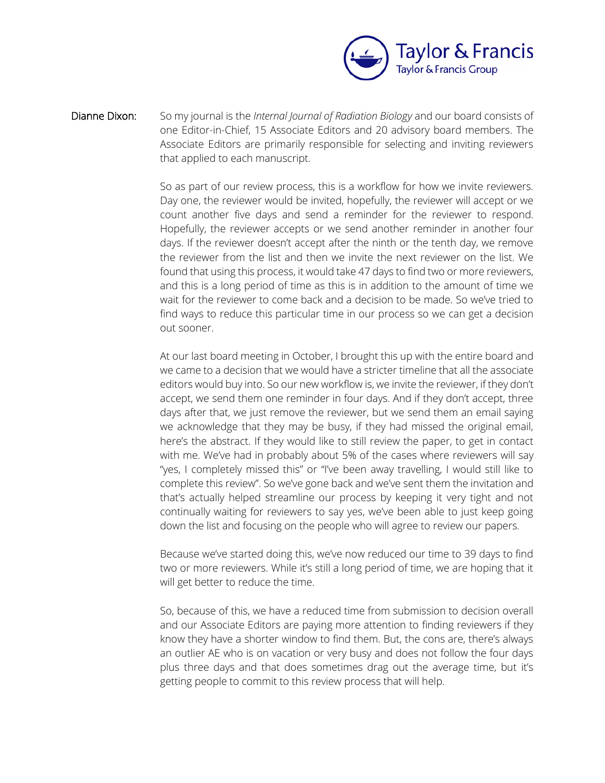

Dianne Dixon: So my journal is the *Internal Journal of Radiation Biology* and our board consists of one Editor-in-Chief, 15 Associate Editors and 20 advisory board members. The Associate Editors are primarily responsible for selecting and inviting reviewers that applied to each manuscript.

> So as part of our review process, this is a workflow for how we invite reviewers. Day one, the reviewer would be invited, hopefully, the reviewer will accept or we count another five days and send a reminder for the reviewer to respond. Hopefully, the reviewer accepts or we send another reminder in another four days. If the reviewer doesn't accept after the ninth or the tenth day, we remove the reviewer from the list and then we invite the next reviewer on the list. We found that using this process, it would take 47 days to find two or more reviewers, and this is a long period of time as this is in addition to the amount of time we wait for the reviewer to come back and a decision to be made. So we've tried to find ways to reduce this particular time in our process so we can get a decision out sooner.

> At our last board meeting in October, I brought this up with the entire board and we came to a decision that we would have a stricter timeline that all the associate editors would buy into. So our new workflow is, we invite the reviewer, if they don't accept, we send them one reminder in four days. And if they don't accept, three days after that, we just remove the reviewer, but we send them an email saying we acknowledge that they may be busy, if they had missed the original email, here's the abstract. If they would like to still review the paper, to get in contact with me. We've had in probably about 5% of the cases where reviewers will say "yes, I completely missed this" or "I've been away travelling, I would still like to complete this review". So we've gone back and we've sent them the invitation and that's actually helped streamline our process by keeping it very tight and not continually waiting for reviewers to say yes, we've been able to just keep going down the list and focusing on the people who will agree to review our papers.

> Because we've started doing this, we've now reduced our time to 39 days to find two or more reviewers. While it's still a long period of time, we are hoping that it will get better to reduce the time.

> So, because of this, we have a reduced time from submission to decision overall and our Associate Editors are paying more attention to finding reviewers if they know they have a shorter window to find them. But, the cons are, there's always an outlier AE who is on vacation or very busy and does not follow the four days plus three days and that does sometimes drag out the average time, but it's getting people to commit to this review process that will help.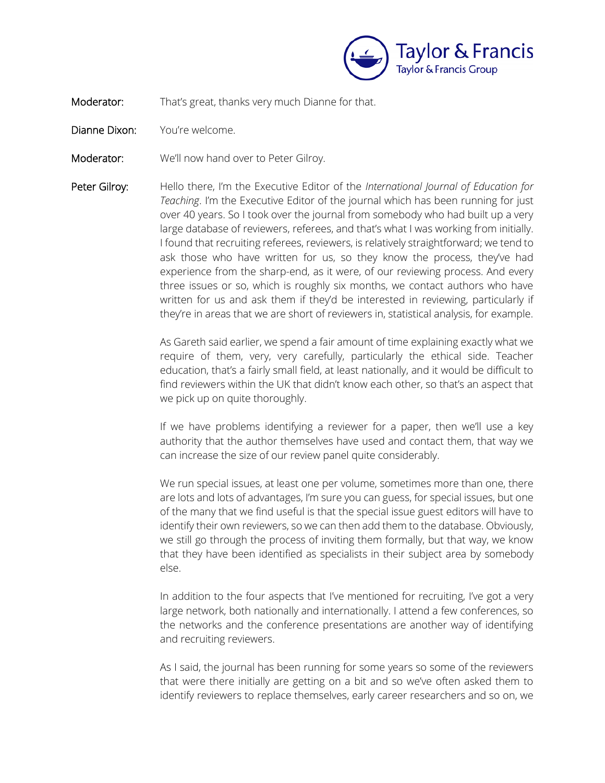

Moderator: That's great, thanks very much Dianne for that.

- Dianne Dixon: You're welcome.
- Moderator: We'll now hand over to Peter Gilroy.
- Peter Gilroy: Hello there, I'm the Executive Editor of the *International Journal of Education for Teaching*. I'm the Executive Editor of the journal which has been running for just over 40 years. So I took over the journal from somebody who had built up a very large database of reviewers, referees, and that's what I was working from initially. I found that recruiting referees, reviewers, is relatively straightforward; we tend to ask those who have written for us, so they know the process, they've had experience from the sharp-end, as it were, of our reviewing process. And every three issues or so, which is roughly six months, we contact authors who have written for us and ask them if they'd be interested in reviewing, particularly if they're in areas that we are short of reviewers in, statistical analysis, for example.

As Gareth said earlier, we spend a fair amount of time explaining exactly what we require of them, very, very carefully, particularly the ethical side. Teacher education, that's a fairly small field, at least nationally, and it would be difficult to find reviewers within the UK that didn't know each other, so that's an aspect that we pick up on quite thoroughly.

If we have problems identifying a reviewer for a paper, then we'll use a key authority that the author themselves have used and contact them, that way we can increase the size of our review panel quite considerably.

We run special issues, at least one per volume, sometimes more than one, there are lots and lots of advantages, I'm sure you can guess, for special issues, but one of the many that we find useful is that the special issue guest editors will have to identify their own reviewers, so we can then add them to the database. Obviously, we still go through the process of inviting them formally, but that way, we know that they have been identified as specialists in their subject area by somebody else.

In addition to the four aspects that I've mentioned for recruiting, I've got a very large network, both nationally and internationally. I attend a few conferences, so the networks and the conference presentations are another way of identifying and recruiting reviewers.

As I said, the journal has been running for some years so some of the reviewers that were there initially are getting on a bit and so we've often asked them to identify reviewers to replace themselves, early career researchers and so on, we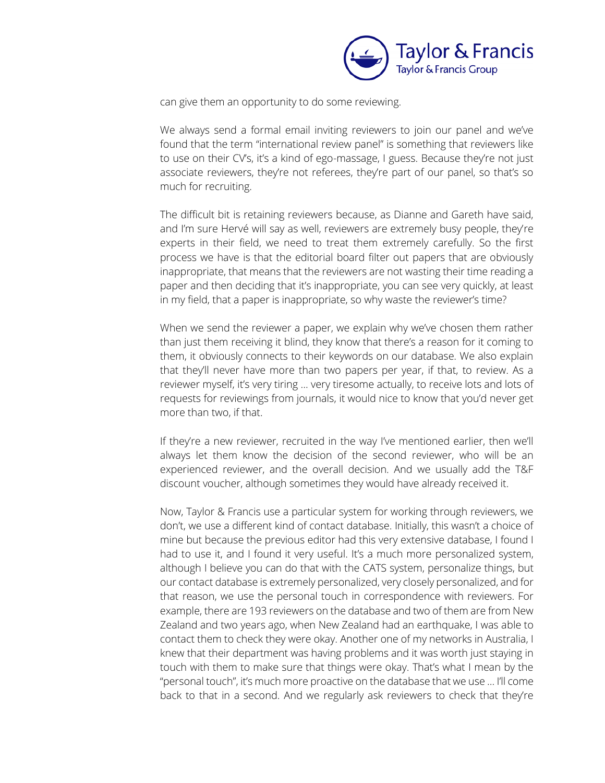

can give them an opportunity to do some reviewing.

We always send a formal email inviting reviewers to join our panel and we've found that the term "international review panel" is something that reviewers like to use on their CV's, it's a kind of ego-massage, I guess. Because they're not just associate reviewers, they're not referees, they're part of our panel, so that's so much for recruiting.

The difficult bit is retaining reviewers because, as Dianne and Gareth have said, and I'm sure Hervé will say as well, reviewers are extremely busy people, they're experts in their field, we need to treat them extremely carefully. So the first process we have is that the editorial board filter out papers that are obviously inappropriate, that means that the reviewers are not wasting their time reading a paper and then deciding that it's inappropriate, you can see very quickly, at least in my field, that a paper is inappropriate, so why waste the reviewer's time?

When we send the reviewer a paper, we explain why we've chosen them rather than just them receiving it blind, they know that there's a reason for it coming to them, it obviously connects to their keywords on our database. We also explain that they'll never have more than two papers per year, if that, to review. As a reviewer myself, it's very tiring ... very tiresome actually, to receive lots and lots of requests for reviewings from journals, it would nice to know that you'd never get more than two, if that.

If they're a new reviewer, recruited in the way I've mentioned earlier, then we'll always let them know the decision of the second reviewer, who will be an experienced reviewer, and the overall decision. And we usually add the T&F discount voucher, although sometimes they would have already received it.

Now, Taylor & Francis use a particular system for working through reviewers, we don't, we use a different kind of contact database. Initially, this wasn't a choice of mine but because the previous editor had this very extensive database, I found I had to use it, and I found it very useful. It's a much more personalized system, although I believe you can do that with the CATS system, personalize things, but our contact database is extremely personalized, very closely personalized, and for that reason, we use the personal touch in correspondence with reviewers. For example, there are 193 reviewers on the database and two of them are from New Zealand and two years ago, when New Zealand had an earthquake, I was able to contact them to check they were okay. Another one of my networks in Australia, I knew that their department was having problems and it was worth just staying in touch with them to make sure that things were okay. That's what I mean by the "personal touch", it's much more proactive on the database that we use ... I'll come back to that in a second. And we regularly ask reviewers to check that they're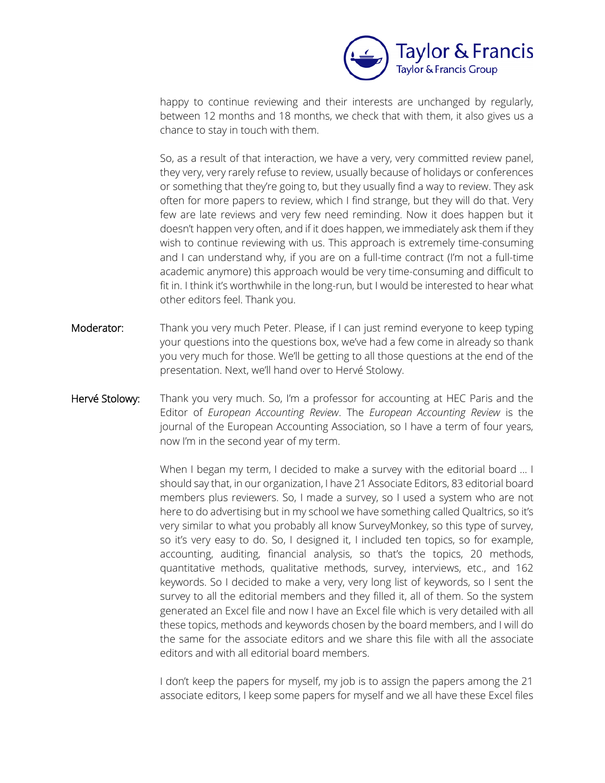

happy to continue reviewing and their interests are unchanged by regularly, between 12 months and 18 months, we check that with them, it also gives us a chance to stay in touch with them.

So, as a result of that interaction, we have a very, very committed review panel, they very, very rarely refuse to review, usually because of holidays or conferences or something that they're going to, but they usually find a way to review. They ask often for more papers to review, which I find strange, but they will do that. Very few are late reviews and very few need reminding. Now it does happen but it doesn't happen very often, and if it does happen, we immediately ask them if they wish to continue reviewing with us. This approach is extremely time-consuming and I can understand why, if you are on a full-time contract (I'm not a full-time academic anymore) this approach would be very time-consuming and difficult to fit in. I think it's worthwhile in the long-run, but I would be interested to hear what other editors feel. Thank you.

- Moderator: Thank you very much Peter. Please, if I can just remind everyone to keep typing your questions into the questions box, we've had a few come in already so thank you very much for those. We'll be getting to all those questions at the end of the presentation. Next, we'll hand over to Hervé Stolowy.
- Hervé Stolowy: Thank you very much. So, I'm a professor for accounting at HEC Paris and the Editor of *European Accounting Review*. The *European Accounting Review* is the journal of the European Accounting Association, so I have a term of four years, now I'm in the second year of my term.

When I began my term, I decided to make a survey with the editorial board ... I should say that, in our organization, I have 21 Associate Editors, 83 editorial board members plus reviewers. So, I made a survey, so I used a system who are not here to do advertising but in my school we have something called Qualtrics, so it's very similar to what you probably all know SurveyMonkey, so this type of survey, so it's very easy to do. So, I designed it, I included ten topics, so for example, accounting, auditing, financial analysis, so that's the topics, 20 methods, quantitative methods, qualitative methods, survey, interviews, etc., and 162 keywords. So I decided to make a very, very long list of keywords, so I sent the survey to all the editorial members and they filled it, all of them. So the system generated an Excel file and now I have an Excel file which is very detailed with all these topics, methods and keywords chosen by the board members, and I will do the same for the associate editors and we share this file with all the associate editors and with all editorial board members.

I don't keep the papers for myself, my job is to assign the papers among the 21 associate editors, I keep some papers for myself and we all have these Excel files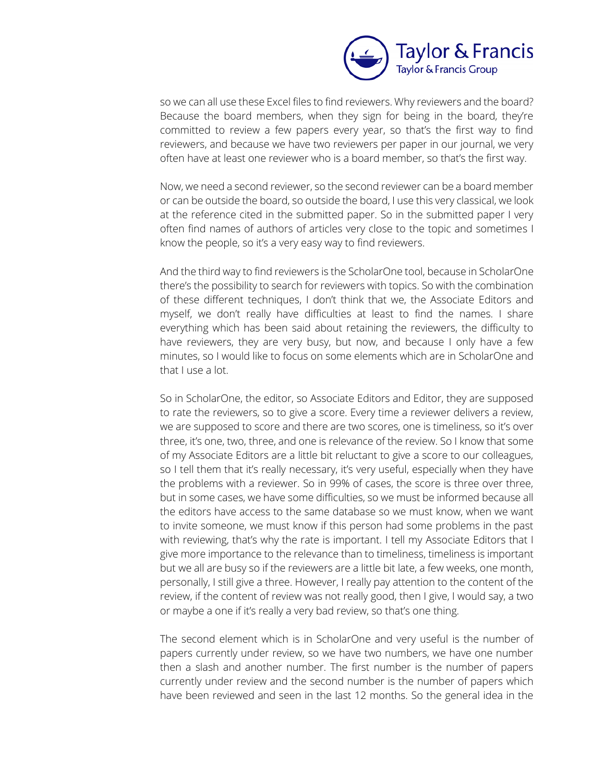

so we can all use these Excel files to find reviewers. Why reviewers and the board? Because the board members, when they sign for being in the board, they're committed to review a few papers every year, so that's the first way to find reviewers, and because we have two reviewers per paper in our journal, we very often have at least one reviewer who is a board member, so that's the first way.

Now, we need a second reviewer, so the second reviewer can be a board member or can be outside the board, so outside the board, I use this very classical, we look at the reference cited in the submitted paper. So in the submitted paper I very often find names of authors of articles very close to the topic and sometimes I know the people, so it's a very easy way to find reviewers.

And the third way to find reviewers is the ScholarOne tool, because in ScholarOne there's the possibility to search for reviewers with topics. So with the combination of these different techniques, I don't think that we, the Associate Editors and myself, we don't really have difficulties at least to find the names. I share everything which has been said about retaining the reviewers, the difficulty to have reviewers, they are very busy, but now, and because I only have a few minutes, so I would like to focus on some elements which are in ScholarOne and that I use a lot.

So in ScholarOne, the editor, so Associate Editors and Editor, they are supposed to rate the reviewers, so to give a score. Every time a reviewer delivers a review, we are supposed to score and there are two scores, one is timeliness, so it's over three, it's one, two, three, and one is relevance of the review. So I know that some of my Associate Editors are a little bit reluctant to give a score to our colleagues, so I tell them that it's really necessary, it's very useful, especially when they have the problems with a reviewer. So in 99% of cases, the score is three over three, but in some cases, we have some difficulties, so we must be informed because all the editors have access to the same database so we must know, when we want to invite someone, we must know if this person had some problems in the past with reviewing, that's why the rate is important. I tell my Associate Editors that I give more importance to the relevance than to timeliness, timeliness is important but we all are busy so if the reviewers are a little bit late, a few weeks, one month, personally, I still give a three. However, I really pay attention to the content of the review, if the content of review was not really good, then I give, I would say, a two or maybe a one if it's really a very bad review, so that's one thing.

The second element which is in ScholarOne and very useful is the number of papers currently under review, so we have two numbers, we have one number then a slash and another number. The first number is the number of papers currently under review and the second number is the number of papers which have been reviewed and seen in the last 12 months. So the general idea in the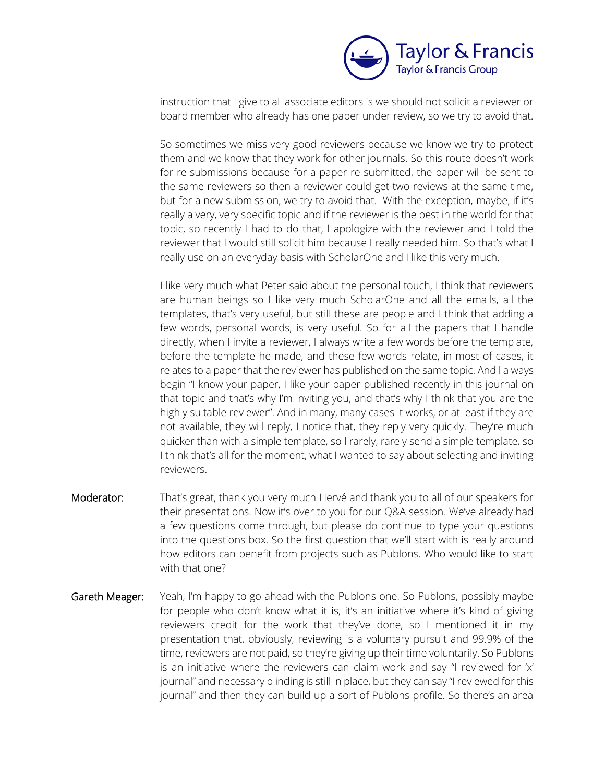

instruction that I give to all associate editors is we should not solicit a reviewer or board member who already has one paper under review, so we try to avoid that.

So sometimes we miss very good reviewers because we know we try to protect them and we know that they work for other journals. So this route doesn't work for re-submissions because for a paper re-submitted, the paper will be sent to the same reviewers so then a reviewer could get two reviews at the same time, but for a new submission, we try to avoid that. With the exception, maybe, if it's really a very, very specific topic and if the reviewer is the best in the world for that topic, so recently I had to do that, I apologize with the reviewer and I told the reviewer that I would still solicit him because I really needed him. So that's what I really use on an everyday basis with ScholarOne and I like this very much.

I like very much what Peter said about the personal touch, I think that reviewers are human beings so I like very much ScholarOne and all the emails, all the templates, that's very useful, but still these are people and I think that adding a few words, personal words, is very useful. So for all the papers that I handle directly, when I invite a reviewer, I always write a few words before the template, before the template he made, and these few words relate, in most of cases, it relates to a paper that the reviewer has published on the same topic. And I always begin "I know your paper, I like your paper published recently in this journal on that topic and that's why I'm inviting you, and that's why I think that you are the highly suitable reviewer". And in many, many cases it works, or at least if they are not available, they will reply, I notice that, they reply very quickly. They're much quicker than with a simple template, so I rarely, rarely send a simple template, so I think that's all for the moment, what I wanted to say about selecting and inviting reviewers.

- Moderator: That's great, thank you very much Hervé and thank you to all of our speakers for their presentations. Now it's over to you for our Q&A session. We've already had a few questions come through, but please do continue to type your questions into the questions box. So the first question that we'll start with is really around how editors can benefit from projects such as Publons. Who would like to start with that one?
- Gareth Meager: Yeah, I'm happy to go ahead with the Publons one. So Publons, possibly maybe for people who don't know what it is, it's an initiative where it's kind of giving reviewers credit for the work that they've done, so I mentioned it in my presentation that, obviously, reviewing is a voluntary pursuit and 99.9% of the time, reviewers are not paid, so they're giving up their time voluntarily. So Publons is an initiative where the reviewers can claim work and say "I reviewed for 'x' journal" and necessary blinding is still in place, but they can say "I reviewed for this journal" and then they can build up a sort of Publons profile. So there's an area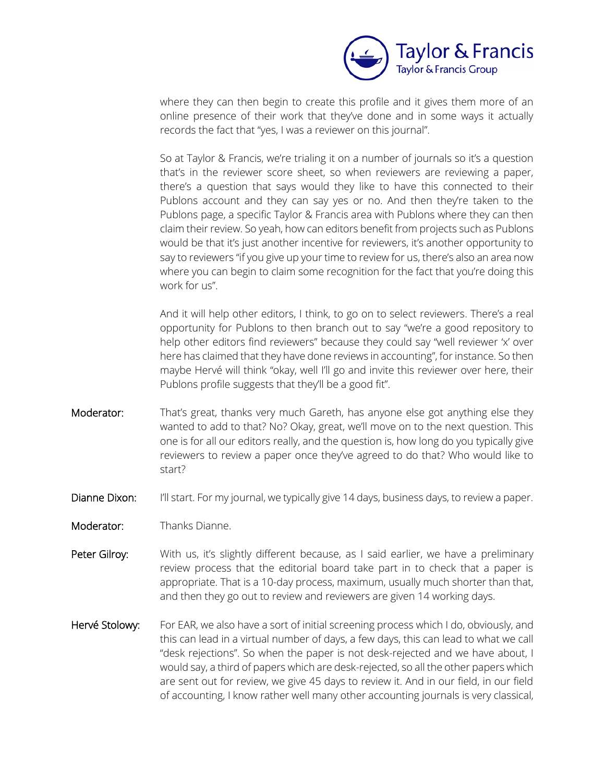

where they can then begin to create this profile and it gives them more of an online presence of their work that they've done and in some ways it actually records the fact that "yes, I was a reviewer on this journal".

So at Taylor & Francis, we're trialing it on a number of journals so it's a question that's in the reviewer score sheet, so when reviewers are reviewing a paper, there's a question that says would they like to have this connected to their Publons account and they can say yes or no. And then they're taken to the Publons page, a specific Taylor & Francis area with Publons where they can then claim their review. So yeah, how can editors benefit from projects such as Publons would be that it's just another incentive for reviewers, it's another opportunity to say to reviewers "if you give up your time to review for us, there's also an area now where you can begin to claim some recognition for the fact that you're doing this work for us".

And it will help other editors, I think, to go on to select reviewers. There's a real opportunity for Publons to then branch out to say "we're a good repository to help other editors find reviewers" because they could say "well reviewer 'x' over here has claimed that they have done reviews in accounting", for instance. So then maybe Hervé will think "okay, well I'll go and invite this reviewer over here, their Publons profile suggests that they'll be a good fit".

- Moderator: That's great, thanks very much Gareth, has anyone else got anything else they wanted to add to that? No? Okay, great, we'll move on to the next question. This one is for all our editors really, and the question is, how long do you typically give reviewers to review a paper once they've agreed to do that? Who would like to start?
- Dianne Dixon: I'll start. For my journal, we typically give 14 days, business days, to review a paper.
- Moderator: Thanks Dianne.
- Peter Gilroy: With us, it's slightly different because, as I said earlier, we have a preliminary review process that the editorial board take part in to check that a paper is appropriate. That is a 10-day process, maximum, usually much shorter than that, and then they go out to review and reviewers are given 14 working days.
- Hervé Stolowy: For EAR, we also have a sort of initial screening process which I do, obviously, and this can lead in a virtual number of days, a few days, this can lead to what we call "desk rejections". So when the paper is not desk-rejected and we have about, I would say, a third of papers which are desk-rejected, so all the other papers which are sent out for review, we give 45 days to review it. And in our field, in our field of accounting, I know rather well many other accounting journals is very classical,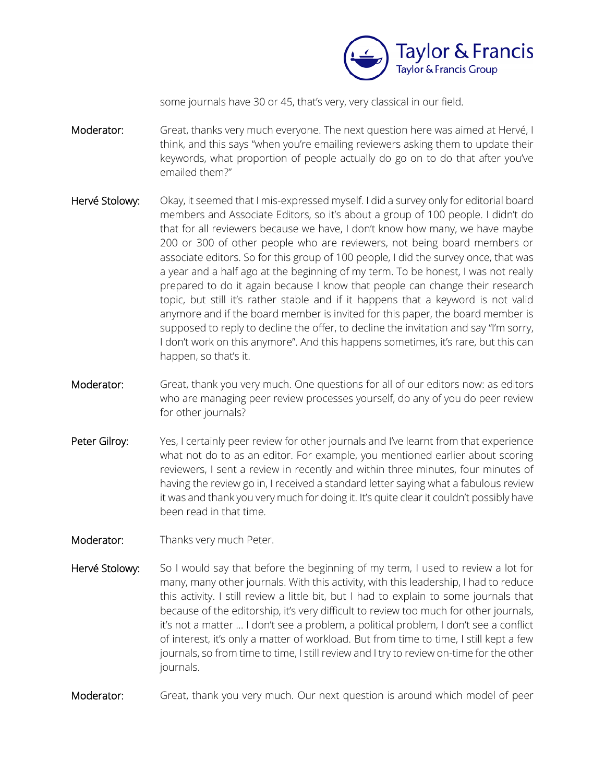

some journals have 30 or 45, that's very, very classical in our field.

- Moderator: Great, thanks very much everyone. The next question here was aimed at Hervé, I think, and this says "when you're emailing reviewers asking them to update their keywords, what proportion of people actually do go on to do that after you've emailed them?"
- Hervé Stolowy: Okay, it seemed that I mis-expressed myself. I did a survey only for editorial board members and Associate Editors, so it's about a group of 100 people. I didn't do that for all reviewers because we have, I don't know how many, we have maybe 200 or 300 of other people who are reviewers, not being board members or associate editors. So for this group of 100 people, I did the survey once, that was a year and a half ago at the beginning of my term. To be honest, I was not really prepared to do it again because I know that people can change their research topic, but still it's rather stable and if it happens that a keyword is not valid anymore and if the board member is invited for this paper, the board member is supposed to reply to decline the offer, to decline the invitation and say "I'm sorry, I don't work on this anymore". And this happens sometimes, it's rare, but this can happen, so that's it.
- Moderator: Great, thank you very much. One questions for all of our editors now: as editors who are managing peer review processes yourself, do any of you do peer review for other journals?
- Peter Gilroy: Yes, I certainly peer review for other journals and I've learnt from that experience what not do to as an editor. For example, you mentioned earlier about scoring reviewers, I sent a review in recently and within three minutes, four minutes of having the review go in, I received a standard letter saying what a fabulous review it was and thank you very much for doing it. It's quite clear it couldn't possibly have been read in that time.
- Moderator: Thanks very much Peter.
- Hervé Stolowy: So I would say that before the beginning of my term, I used to review a lot for many, many other journals. With this activity, with this leadership, I had to reduce this activity. I still review a little bit, but I had to explain to some journals that because of the editorship, it's very difficult to review too much for other journals, it's not a matter ... I don't see a problem, a political problem, I don't see a conflict of interest, it's only a matter of workload. But from time to time, I still kept a few journals, so from time to time, I still review and I try to review on-time for the other journals.
- Moderator: Great, thank you very much. Our next question is around which model of peer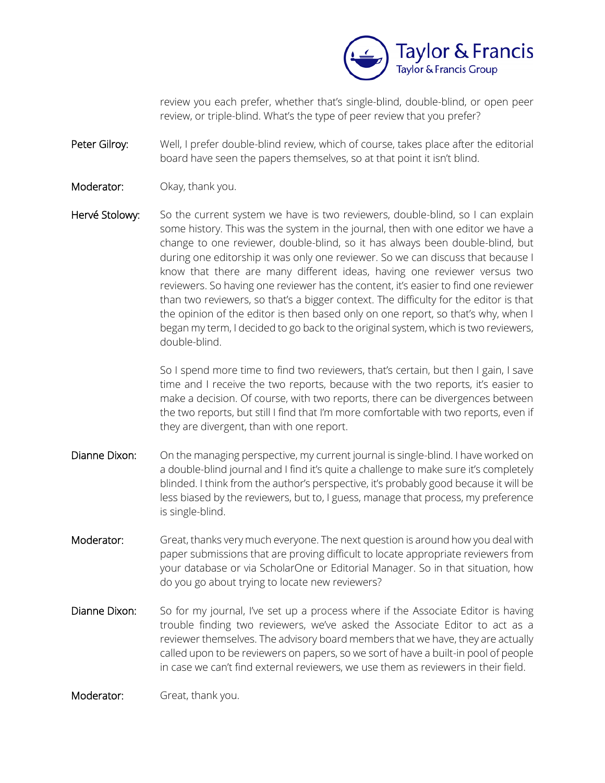

review you each prefer, whether that's single-blind, double-blind, or open peer review, or triple-blind. What's the type of peer review that you prefer?

Peter Gilroy: Well, I prefer double-blind review, which of course, takes place after the editorial board have seen the papers themselves, so at that point it isn't blind.

- Moderator: Okay, thank you.
- Hervé Stolowy: So the current system we have is two reviewers, double-blind, so I can explain some history. This was the system in the journal, then with one editor we have a change to one reviewer, double-blind, so it has always been double-blind, but during one editorship it was only one reviewer. So we can discuss that because I know that there are many different ideas, having one reviewer versus two reviewers. So having one reviewer has the content, it's easier to find one reviewer than two reviewers, so that's a bigger context. The difficulty for the editor is that the opinion of the editor is then based only on one report, so that's why, when I began my term, I decided to go back to the original system, which is two reviewers, double-blind.

So I spend more time to find two reviewers, that's certain, but then I gain, I save time and I receive the two reports, because with the two reports, it's easier to make a decision. Of course, with two reports, there can be divergences between the two reports, but still I find that I'm more comfortable with two reports, even if they are divergent, than with one report.

- Dianne Dixon: On the managing perspective, my current journal is single-blind. I have worked on a double-blind journal and I find it's quite a challenge to make sure it's completely blinded. I think from the author's perspective, it's probably good because it will be less biased by the reviewers, but to, I guess, manage that process, my preference is single-blind.
- Moderator: Great, thanks very much everyone. The next question is around how you deal with paper submissions that are proving difficult to locate appropriate reviewers from your database or via ScholarOne or Editorial Manager. So in that situation, how do you go about trying to locate new reviewers?
- Dianne Dixon: So for my journal, I've set up a process where if the Associate Editor is having trouble finding two reviewers, we've asked the Associate Editor to act as a reviewer themselves. The advisory board members that we have, they are actually called upon to be reviewers on papers, so we sort of have a built-in pool of people in case we can't find external reviewers, we use them as reviewers in their field.

## Moderator: Great, thank you.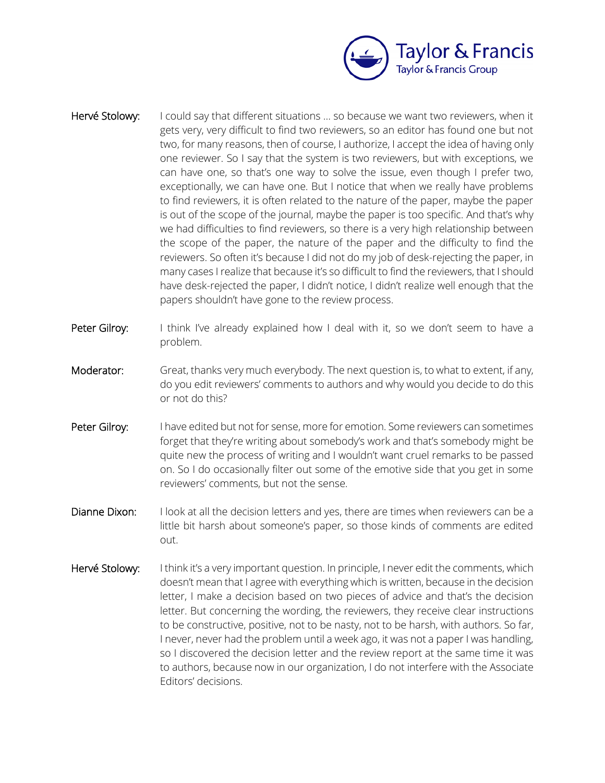

- Hervé Stolowy: I could say that different situations ... so because we want two reviewers, when it gets very, very difficult to find two reviewers, so an editor has found one but not two, for many reasons, then of course, I authorize, I accept the idea of having only one reviewer. So I say that the system is two reviewers, but with exceptions, we can have one, so that's one way to solve the issue, even though I prefer two, exceptionally, we can have one. But I notice that when we really have problems to find reviewers, it is often related to the nature of the paper, maybe the paper is out of the scope of the journal, maybe the paper is too specific. And that's why we had difficulties to find reviewers, so there is a very high relationship between the scope of the paper, the nature of the paper and the difficulty to find the reviewers. So often it's because I did not do my job of desk-rejecting the paper, in many cases I realize that because it's so difficult to find the reviewers, that I should have desk-rejected the paper, I didn't notice, I didn't realize well enough that the papers shouldn't have gone to the review process.
- Peter Gilroy: I think I've already explained how I deal with it, so we don't seem to have a problem.
- Moderator: Great, thanks very much everybody. The next question is, to what to extent, if any, do you edit reviewers' comments to authors and why would you decide to do this or not do this?
- Peter Gilroy: I have edited but not for sense, more for emotion. Some reviewers can sometimes forget that they're writing about somebody's work and that's somebody might be quite new the process of writing and I wouldn't want cruel remarks to be passed on. So I do occasionally filter out some of the emotive side that you get in some reviewers' comments, but not the sense.
- Dianne Dixon: I look at all the decision letters and yes, there are times when reviewers can be a little bit harsh about someone's paper, so those kinds of comments are edited out.
- Hervé Stolowy: I think it's a very important question. In principle, I never edit the comments, which doesn't mean that I agree with everything which is written, because in the decision letter, I make a decision based on two pieces of advice and that's the decision letter. But concerning the wording, the reviewers, they receive clear instructions to be constructive, positive, not to be nasty, not to be harsh, with authors. So far, I never, never had the problem until a week ago, it was not a paper I was handling, so I discovered the decision letter and the review report at the same time it was to authors, because now in our organization, I do not interfere with the Associate Editors' decisions.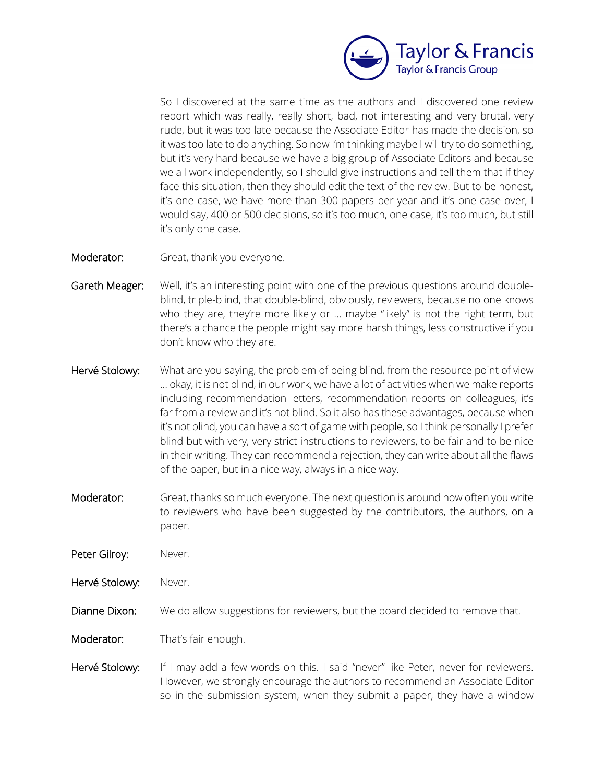

So I discovered at the same time as the authors and I discovered one review report which was really, really short, bad, not interesting and very brutal, very rude, but it was too late because the Associate Editor has made the decision, so it was too late to do anything. So now I'm thinking maybe I will try to do something, but it's very hard because we have a big group of Associate Editors and because we all work independently, so I should give instructions and tell them that if they face this situation, then they should edit the text of the review. But to be honest, it's one case, we have more than 300 papers per year and it's one case over, I would say, 400 or 500 decisions, so it's too much, one case, it's too much, but still it's only one case.

- Moderator: Great, thank you everyone.
- Gareth Meager: Well, it's an interesting point with one of the previous questions around doubleblind, triple-blind, that double-blind, obviously, reviewers, because no one knows who they are, they're more likely or ... maybe "likely" is not the right term, but there's a chance the people might say more harsh things, less constructive if you don't know who they are.
- Hervé Stolowy: What are you saying, the problem of being blind, from the resource point of view ... okay, it is not blind, in our work, we have a lot of activities when we make reports including recommendation letters, recommendation reports on colleagues, it's far from a review and it's not blind. So it also has these advantages, because when it's not blind, you can have a sort of game with people, so I think personally I prefer blind but with very, very strict instructions to reviewers, to be fair and to be nice in their writing. They can recommend a rejection, they can write about all the flaws of the paper, but in a nice way, always in a nice way.
- Moderator: Great, thanks so much everyone. The next question is around how often you write to reviewers who have been suggested by the contributors, the authors, on a paper.
- Peter Gilroy: Never.
- Hervé Stolowy: Never.
- Dianne Dixon: We do allow suggestions for reviewers, but the board decided to remove that.
- Moderator: That's fair enough.
- Hervé Stolowy: If I may add a few words on this. I said "never" like Peter, never for reviewers. However, we strongly encourage the authors to recommend an Associate Editor so in the submission system, when they submit a paper, they have a window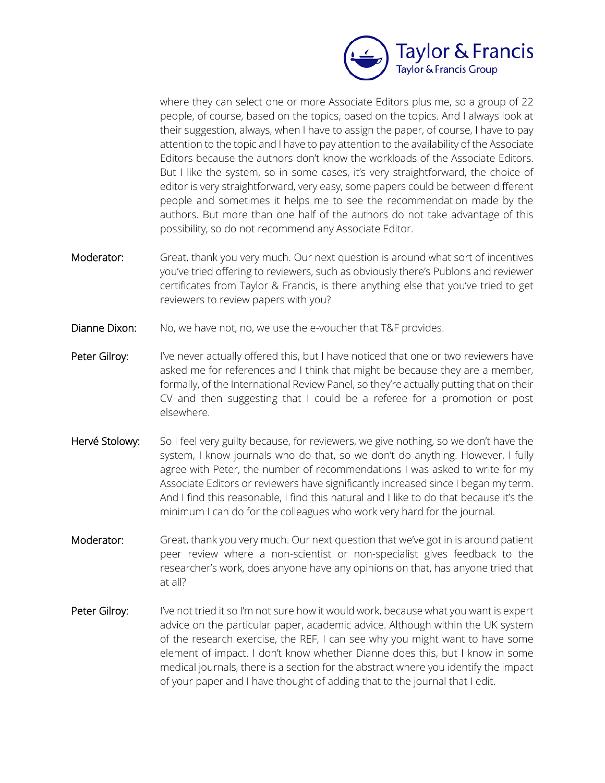

where they can select one or more Associate Editors plus me, so a group of 22 people, of course, based on the topics, based on the topics. And I always look at their suggestion, always, when I have to assign the paper, of course, I have to pay attention to the topic and I have to pay attention to the availability of the Associate Editors because the authors don't know the workloads of the Associate Editors. But I like the system, so in some cases, it's very straightforward, the choice of editor is very straightforward, very easy, some papers could be between different people and sometimes it helps me to see the recommendation made by the authors. But more than one half of the authors do not take advantage of this possibility, so do not recommend any Associate Editor.

- Moderator: Great, thank you very much. Our next question is around what sort of incentives you've tried offering to reviewers, such as obviously there's Publons and reviewer certificates from Taylor & Francis, is there anything else that you've tried to get reviewers to review papers with you?
- Dianne Dixon: No, we have not, no, we use the e-voucher that T&F provides.
- Peter Gilroy: I've never actually offered this, but I have noticed that one or two reviewers have asked me for references and I think that might be because they are a member, formally, of the International Review Panel, so they're actually putting that on their CV and then suggesting that I could be a referee for a promotion or post elsewhere.
- Hervé Stolowy: So I feel very guilty because, for reviewers, we give nothing, so we don't have the system, I know journals who do that, so we don't do anything. However, I fully agree with Peter, the number of recommendations I was asked to write for my Associate Editors or reviewers have significantly increased since I began my term. And I find this reasonable, I find this natural and I like to do that because it's the minimum I can do for the colleagues who work very hard for the journal.
- Moderator: Great, thank you very much. Our next question that we've got in is around patient peer review where a non-scientist or non-specialist gives feedback to the researcher's work, does anyone have any opinions on that, has anyone tried that at all?
- Peter Gilroy: I've not tried it so I'm not sure how it would work, because what you want is expert advice on the particular paper, academic advice. Although within the UK system of the research exercise, the REF, I can see why you might want to have some element of impact. I don't know whether Dianne does this, but I know in some medical journals, there is a section for the abstract where you identify the impact of your paper and I have thought of adding that to the journal that I edit.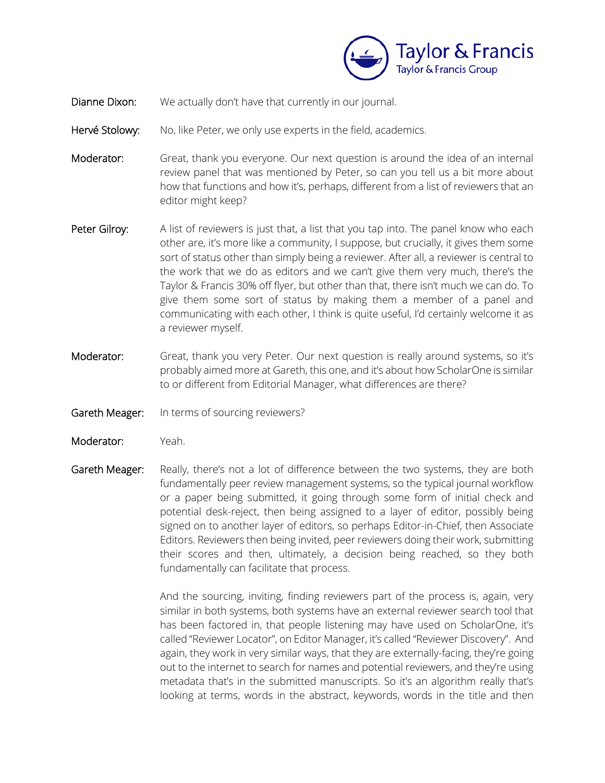

- Dianne Dixon: We actually don't have that currently in our journal.
- Hervé Stolowy: No, like Peter, we only use experts in the field, academics.
- Moderator: Great, thank you everyone. Our next question is around the idea of an internal review panel that was mentioned by Peter, so can you tell us a bit more about how that functions and how it's, perhaps, different from a list of reviewers that an editor might keep?
- Peter Gilroy: A list of reviewers is just that, a list that you tap into. The panel know who each other are, it's more like a community, I suppose, but crucially, it gives them some sort of status other than simply being a reviewer. After all, a reviewer is central to the work that we do as editors and we can't give them very much, there's the Taylor & Francis 30% off flyer, but other than that, there isn't much we can do. To give them some sort of status by making them a member of a panel and communicating with each other, I think is quite useful, I'd certainly welcome it as a reviewer myself.
- Moderator: Great, thank you very Peter. Our next question is really around systems, so it's probably aimed more at Gareth, this one, and it's about how ScholarOne is similar to or different from Editorial Manager, what differences are there?
- Gareth Meager: In terms of sourcing reviewers?
- Moderator: Yeah.
- Gareth Meager: Really, there's not a lot of difference between the two systems, they are both fundamentally peer review management systems, so the typical journal workflow or a paper being submitted, it going through some form of initial check and potential desk-reject, then being assigned to a layer of editor, possibly being signed on to another layer of editors, so perhaps Editor-in-Chief, then Associate Editors. Reviewers then being invited, peer reviewers doing their work, submitting their scores and then, ultimately, a decision being reached, so they both fundamentally can facilitate that process.

And the sourcing, inviting, finding reviewers part of the process is, again, very similar in both systems, both systems have an external reviewer search tool that has been factored in, that people listening may have used on ScholarOne, it's called "Reviewer Locator", on Editor Manager, it's called "Reviewer Discovery". And again, they work in very similar ways, that they are externally-facing, they're going out to the internet to search for names and potential reviewers, and they're using metadata that's in the submitted manuscripts. So it's an algorithm really that's looking at terms, words in the abstract, keywords, words in the title and then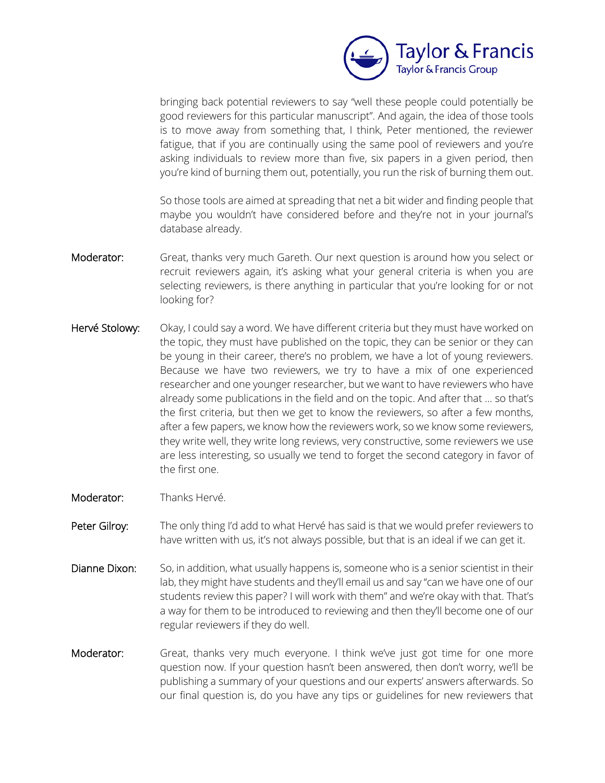

bringing back potential reviewers to say "well these people could potentially be good reviewers for this particular manuscript". And again, the idea of those tools is to move away from something that, I think, Peter mentioned, the reviewer fatigue, that if you are continually using the same pool of reviewers and you're asking individuals to review more than five, six papers in a given period, then you're kind of burning them out, potentially, you run the risk of burning them out.

So those tools are aimed at spreading that net a bit wider and finding people that maybe you wouldn't have considered before and they're not in your journal's database already.

- Moderator: Great, thanks very much Gareth. Our next question is around how you select or recruit reviewers again, it's asking what your general criteria is when you are selecting reviewers, is there anything in particular that you're looking for or not looking for?
- Hervé Stolowy: Okay, I could say a word. We have different criteria but they must have worked on the topic, they must have published on the topic, they can be senior or they can be young in their career, there's no problem, we have a lot of young reviewers. Because we have two reviewers, we try to have a mix of one experienced researcher and one younger researcher, but we want to have reviewers who have already some publications in the field and on the topic. And after that ... so that's the first criteria, but then we get to know the reviewers, so after a few months, after a few papers, we know how the reviewers work, so we know some reviewers, they write well, they write long reviews, very constructive, some reviewers we use are less interesting, so usually we tend to forget the second category in favor of the first one.
- Moderator: Thanks Hervé.
- Peter Gilroy: The only thing I'd add to what Hervé has said is that we would prefer reviewers to have written with us, it's not always possible, but that is an ideal if we can get it.
- Dianne Dixon: So, in addition, what usually happens is, someone who is a senior scientist in their lab, they might have students and they'll email us and say "can we have one of our students review this paper? I will work with them" and we're okay with that. That's a way for them to be introduced to reviewing and then they'll become one of our regular reviewers if they do well.
- Moderator: Great, thanks very much everyone. I think we've just got time for one more question now. If your question hasn't been answered, then don't worry, we'll be publishing a summary of your questions and our experts' answers afterwards. So our final question is, do you have any tips or guidelines for new reviewers that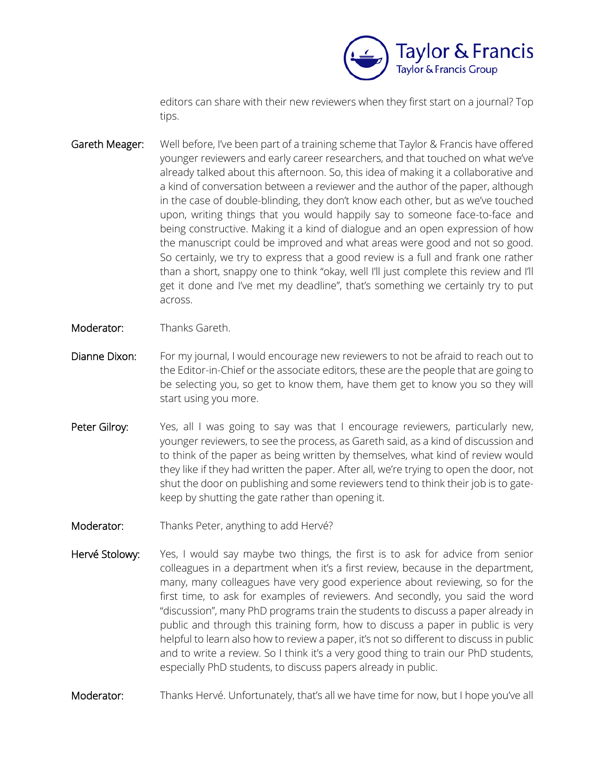

editors can share with their new reviewers when they first start on a journal? Top tips.

- Gareth Meager: Well before, I've been part of a training scheme that Taylor & Francis have offered younger reviewers and early career researchers, and that touched on what we've already talked about this afternoon. So, this idea of making it a collaborative and a kind of conversation between a reviewer and the author of the paper, although in the case of double-blinding, they don't know each other, but as we've touched upon, writing things that you would happily say to someone face-to-face and being constructive. Making it a kind of dialogue and an open expression of how the manuscript could be improved and what areas were good and not so good. So certainly, we try to express that a good review is a full and frank one rather than a short, snappy one to think "okay, well I'll just complete this review and I'll get it done and I've met my deadline", that's something we certainly try to put across.
- Moderator: Thanks Gareth.
- Dianne Dixon: For my journal, I would encourage new reviewers to not be afraid to reach out to the Editor-in-Chief or the associate editors, these are the people that are going to be selecting you, so get to know them, have them get to know you so they will start using you more.
- Peter Gilroy: Yes, all I was going to say was that I encourage reviewers, particularly new, younger reviewers, to see the process, as Gareth said, as a kind of discussion and to think of the paper as being written by themselves, what kind of review would they like if they had written the paper. After all, we're trying to open the door, not shut the door on publishing and some reviewers tend to think their job is to gatekeep by shutting the gate rather than opening it.
- Moderator: Thanks Peter, anything to add Hervé?
- Hervé Stolowy: Yes, I would say maybe two things, the first is to ask for advice from senior colleagues in a department when it's a first review, because in the department, many, many colleagues have very good experience about reviewing, so for the first time, to ask for examples of reviewers. And secondly, you said the word "discussion", many PhD programs train the students to discuss a paper already in public and through this training form, how to discuss a paper in public is very helpful to learn also how to review a paper, it's not so different to discuss in public and to write a review. So I think it's a very good thing to train our PhD students, especially PhD students, to discuss papers already in public.
- Moderator: Thanks Hervé. Unfortunately, that's all we have time for now, but I hope you've all